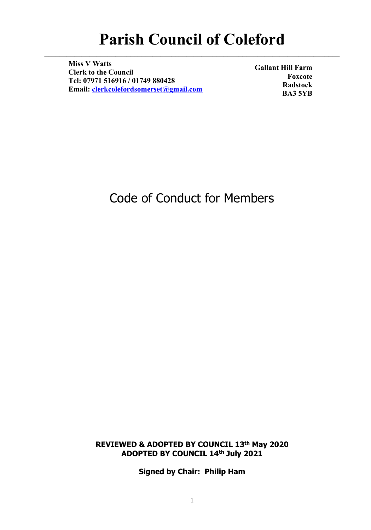# **Parish Council of Coleford**

**\_\_\_\_\_\_\_\_\_\_\_\_\_\_\_\_\_\_\_\_\_\_\_\_\_\_\_\_\_\_\_\_\_\_\_\_\_\_\_\_\_\_\_\_\_\_\_\_\_\_\_\_\_\_\_\_\_\_\_\_\_\_\_\_\_\_\_\_\_\_\_\_\_\_\_\_\_\_\_**

**Miss V Watts Clerk to the Council Tel: 07971 516916 / 01749 880428 Email: [clerkcolefordsomerset@gmail.com](mailto:clerkcolefordsomerset@gmail.com)**

**Gallant Hill Farm Foxcote Radstock BA3 5YB**

## Code of Conduct for Members

**REVIEWED & ADOPTED BY COUNCIL 13th May 2020 ADOPTED BY COUNCIL 14th July 2021**

**Signed by Chair: Philip Ham**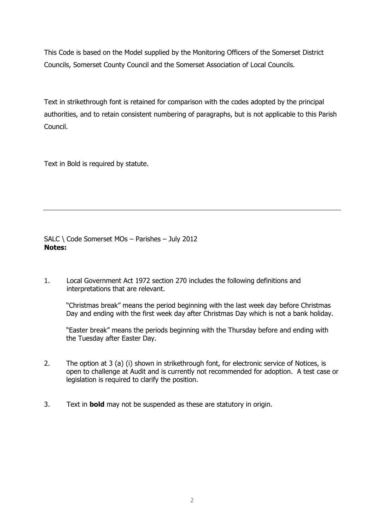This Code is based on the Model supplied by the Monitoring Officers of the Somerset District Councils, Somerset County Council and the Somerset Association of Local Councils.

Text in strikethrough font is retained for comparison with the codes adopted by the principal authorities, and to retain consistent numbering of paragraphs, but is not applicable to this Parish Council.

Text in Bold is required by statute.

SALC \ Code Somerset MOs – Parishes – July 2012 **Notes:**

1. Local Government Act 1972 section 270 includes the following definitions and interpretations that are relevant.

"Christmas break" means the period beginning with the last week day before Christmas Day and ending with the first week day after Christmas Day which is not a bank holiday.

"Easter break" means the periods beginning with the Thursday before and ending with the Tuesday after Easter Day.

- 2. The option at 3 (a) (i) shown in strikethrough font, for electronic service of Notices, is open to challenge at Audit and is currently not recommended for adoption. A test case or legislation is required to clarify the position.
- 3. Text in **bold** may not be suspended as these are statutory in origin.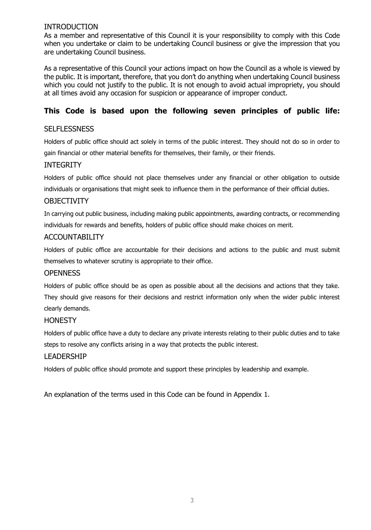## INTRODUCTION

As a member and representative of this Council it is your responsibility to comply with this Code when you undertake or claim to be undertaking Council business or give the impression that you are undertaking Council business.

As a representative of this Council your actions impact on how the Council as a whole is viewed by the public. It is important, therefore, that you don't do anything when undertaking Council business which you could not justify to the public. It is not enough to avoid actual impropriety, you should at all times avoid any occasion for suspicion or appearance of improper conduct.

## **This Code is based upon the following seven principles of public life:**

## **SELFLESSNESS**

Holders of public office should act solely in terms of the public interest. They should not do so in order to gain financial or other material benefits for themselves, their family, or their friends.

## INTEGRITY

Holders of public office should not place themselves under any financial or other obligation to outside individuals or organisations that might seek to influence them in the performance of their official duties.

## **OBJECTIVITY**

In carrying out public business, including making public appointments, awarding contracts, or recommending individuals for rewards and benefits, holders of public office should make choices on merit.

## ACCOUNTABILITY

Holders of public office are accountable for their decisions and actions to the public and must submit themselves to whatever scrutiny is appropriate to their office.

## **OPENNESS**

Holders of public office should be as open as possible about all the decisions and actions that they take. They should give reasons for their decisions and restrict information only when the wider public interest clearly demands.

## **HONESTY**

Holders of public office have a duty to declare any private interests relating to their public duties and to take steps to resolve any conflicts arising in a way that protects the public interest.

#### LEADERSHIP

Holders of public office should promote and support these principles by leadership and example.

An explanation of the terms used in this Code can be found in Appendix 1.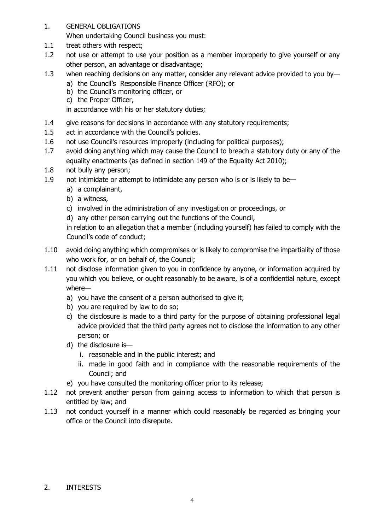1. GENERAL OBLIGATIONS

When undertaking Council business you must:

- 1.1 treat others with respect;
- 1.2 not use or attempt to use your position as a member improperly to give yourself or any other person, an advantage or disadvantage;
- 1.3 when reaching decisions on any matter, consider any relevant advice provided to you by
	- a) the Council's Responsible Finance Officer (RFO); or
	- b) the Council's monitoring officer, or
	- c) the Proper Officer,

in accordance with his or her statutory duties;

- 1.4 give reasons for decisions in accordance with any statutory requirements;
- 1.5 act in accordance with the Council's policies.
- 1.6 not use Council's resources improperly (including for political purposes);
- 1.7 avoid doing anything which may cause the Council to breach a statutory duty or any of the equality enactments (as defined in section 149 of the Equality Act 2010);
- 1.8 not bully any person;
- 1.9 not intimidate or attempt to intimidate any person who is or is likely to be
	- a) a complainant,
	- b) a witness,
	- c) involved in the administration of any investigation or proceedings, or
	- d) any other person carrying out the functions of the Council,

in relation to an allegation that a member (including yourself) has failed to comply with the Council's code of conduct;

- 1.10 avoid doing anything which compromises or is likely to compromise the impartiality of those who work for, or on behalf of, the Council;
- 1.11 not disclose information given to you in confidence by anyone, or information acquired by you which you believe, or ought reasonably to be aware, is of a confidential nature, except where
	- a) you have the consent of a person authorised to give it;
	- b) you are required by law to do so;
	- c) the disclosure is made to a third party for the purpose of obtaining professional legal advice provided that the third party agrees not to disclose the information to any other person; or
	- d) the disclosure is
		- i. reasonable and in the public interest; and
		- ii. made in good faith and in compliance with the reasonable requirements of the Council; and
	- e) you have consulted the monitoring officer prior to its release;
- 1.12 not prevent another person from gaining access to information to which that person is entitled by law; and
- 1.13 not conduct yourself in a manner which could reasonably be regarded as bringing your office or the Council into disrepute.

## 2. INTERESTS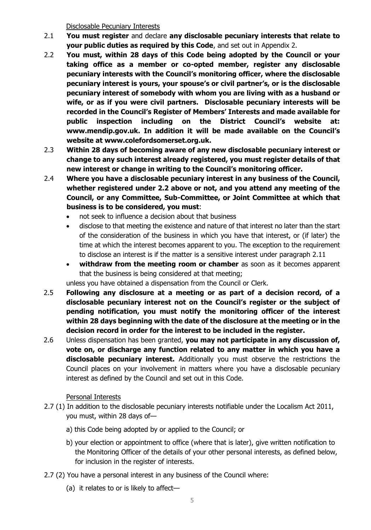Disclosable Pecuniary Interests

- 2.1 **You must register** and declare **any disclosable pecuniary interests that relate to your public duties as required by this Code**, and set out in Appendix 2.
- 2.2 **You must, within 28 days of this Code being adopted by the Council or your taking office as a member or co-opted member, register any disclosable pecuniary interests with the Council's monitoring officer, where the disclosable pecuniary interest is yours, your spouse's or civil partner's, or is the disclosable pecuniary interest of somebody with whom you are living with as a husband or wife, or as if you were civil partners. Disclosable pecuniary interests will be recorded in the Council's Register of Members' Interests and made available for public inspection including on the District Council's website at: www.mendip.gov.uk. In addition it will be made available on the Council's website at www.colefordsomerset.org.uk.**
- 2.3 **Within 28 days of becoming aware of any new disclosable pecuniary interest or change to any such interest already registered, you must register details of that new interest or change in writing to the Council's monitoring officer.**
- 2.4 **Where you have a disclosable pecuniary interest in any business of the Council, whether registered under 2.2 above or not, and you attend any meeting of the Council, or any Committee, Sub-Committee, or Joint Committee at which that business is to be considered, you must**:
	- not seek to influence a decision about that business
	- disclose to that meeting the existence and nature of that interest no later than the start of the consideration of the business in which you have that interest, or (if later) the time at which the interest becomes apparent to you. The exception to the requirement to disclose an interest is if the matter is a sensitive interest under paragraph 2.11
	- **withdraw from the meeting room or chamber** as soon as it becomes apparent that the business is being considered at that meeting;

unless you have obtained a dispensation from the Council or Clerk.

- 2.5 **Following any disclosure at a meeting or as part of a decision record, of a disclosable pecuniary interest not on the Council's register or the subject of pending notification, you must notify the monitoring officer of the interest within 28 days beginning with the date of the disclosure at the meeting or in the decision record in order for the interest to be included in the register.**
- 2.6 Unless dispensation has been granted, **you may not participate in any discussion of, vote on, or discharge any function related to any matter in which you have a disclosable pecuniary interest.** Additionally you must observe the restrictions the Council places on your involvement in matters where you have a disclosable pecuniary interest as defined by the Council and set out in this Code.

## Personal Interests

- 2.7 (1) In addition to the disclosable pecuniary interests notifiable under the Localism Act 2011, you must, within 28 days of
	- a) this Code being adopted by or applied to the Council; or
	- b) your election or appointment to office (where that is later), give written notification to the Monitoring Officer of the details of your other personal interests, as defined below, for inclusion in the register of interests.
- 2.7 (2) You have a personal interest in any business of the Council where:
	- (a) it relates to or is likely to affect—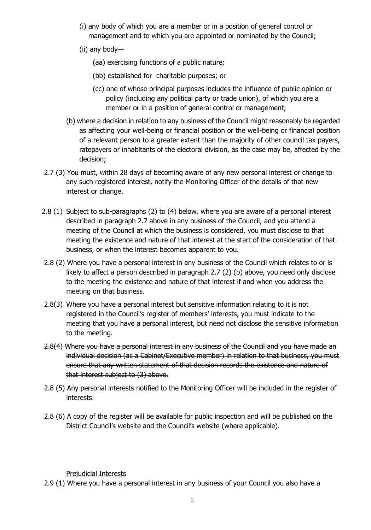- (i) any body of which you are a member or in a position of general control or management and to which you are appointed or nominated by the Council;
- (ii) any body—
	- (aa) exercising functions of a public nature;
	- (bb) established for charitable purposes; or
	- (cc) one of whose principal purposes includes the influence of public opinion or policy (including any political party or trade union), of which you are a member or in a position of general control or management;
- (b) where a decision in relation to any business of the Council might reasonably be regarded as affecting your well-being or financial position or the well-being or financial position of a relevant person to a greater extent than the majority of other council tax payers, ratepayers or inhabitants of the electoral division, as the case may be, affected by the decision;
- 2.7 (3) You must, within 28 days of becoming aware of any new personal interest or change to any such registered interest, notify the Monitoring Officer of the details of that new interest or change.
- 2.8 (1) Subject to sub-paragraphs (2) to (4) below, where you are aware of a personal interest described in paragraph 2.7 above in any business of the Council, and you attend a meeting of the Council at which the business is considered, you must disclose to that meeting the existence and nature of that interest at the start of the consideration of that business, or when the interest becomes apparent to you.
- 2.8 (2) Where you have a personal interest in any business of the Council which relates to or is likely to affect a person described in paragraph 2.7 (2) (b) above, you need only disclose to the meeting the existence and nature of that interest if and when you address the meeting on that business.
- 2.8(3) Where you have a personal interest but sensitive information relating to it is not registered in the Council's register of members' interests, you must indicate to the meeting that you have a personal interest, but need not disclose the sensitive information to the meeting.
- 2.8(4) Where you have a personal interest in any business of the Council and you have made an individual decision (as a Cabinet/Executive member) in relation to that business, you must ensure that any written statement of that decision records the existence and nature of that interest subject to (3) above.
- 2.8 (5) Any personal interests notified to the Monitoring Officer will be included in the register of interests.
- 2.8 (6) A copy of the register will be available for public inspection and will be published on the District Council's website and the Council's website (where applicable).

Prejudicial Interests

2.9 (1) Where you have a personal interest in any business of your Council you also have a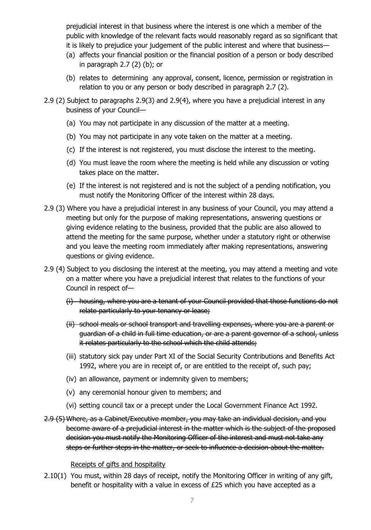prejudicial interest in that business where the interest is one which a member of the public with knowledge of the relevant facts would reasonably regard as so significant that it is likely to prejudice your judgement of the public interest and where that business—

- (a) affects your financial position or the financial position of a person or body described in paragraph 2.7 (2) (b); or
- (b) relates to determining any approval, consent, licence, permission or registration in relation to you or any person or body described in paragraph 2.7 (2).
- 2.9 (2) Subject to paragraphs 2.9(3) and 2.9(4), where you have a prejudicial interest in any business of your Council—
	- (a) You may not participate in any discussion of the matter at a meeting.
	- (b) You may not participate in any vote taken on the matter at a meeting.
	- (c) If the interest is not registered, you must disclose the interest to the meeting.
	- (d) You must leave the room where the meeting is held while any discussion or voting takes place on the matter.
	- (e) If the interest is not registered and is not the subject of a pending notification, you must notify the Monitoring Officer of the interest within 28 days.
- 2.9 (3) Where you have a prejudicial interest in any business of your Council, you may attend a meeting but only for the purpose of making representations, answering questions or giving evidence relating to the business, provided that the public are also allowed to attend the meeting for the same purpose, whether under a statutory right or otherwise and you leave the meeting room immediately after making representations, answering questions or giving evidence.
- 2.9 (4) Subject to you disclosing the interest at the meeting, you may attend a meeting and vote on a matter where you have a prejudicial interest that relates to the functions of your Council in respect of—
	- (i) housing, where you are a tenant of your Council provided that those functions do not relate particularly to your tenancy or lease;
	- (ii) school meals or school transport and travelling expenses, where you are a parent or guardian of a child in full time education, or are a parent governor of a school, unless it relates particularly to the school which the child attends;
	- (iii) statutory sick pay under Part XI of the Social Security Contributions and Benefits Act 1992, where you are in receipt of, or are entitled to the receipt of, such pay;
	- (iv) an allowance, payment or indemnity given to members;
	- (v) any ceremonial honour given to members; and
	- (vi) setting council tax or a precept under the Local Government Finance Act 1992.
- 2.9 (5) Where, as a Cabinet/Executive member, you may take an individual decision, and you become aware of a prejudicial interest in the matter which is the subject of the proposed decision you must notify the Monitoring Officer of the interest and must not take any steps or further steps in the matter, or seek to influence a decision about the matter.

## Receipts of gifts and hospitality

2.10(1) You must, within 28 days of receipt, notify the Monitoring Officer in writing of any gift, benefit or hospitality with a value in excess of £25 which you have accepted as a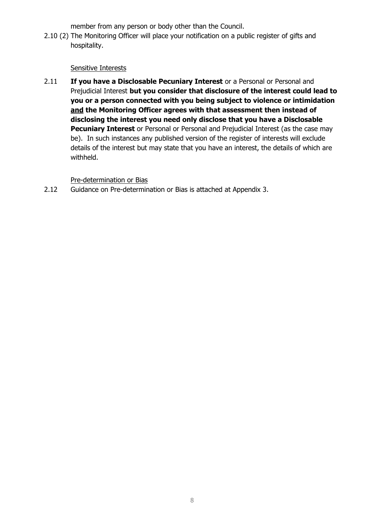member from any person or body other than the Council.

2.10 (2) The Monitoring Officer will place your notification on a public register of gifts and hospitality.

## Sensitive Interests

2.11 **If you have a Disclosable Pecuniary Interest** or a Personal or Personal and Prejudicial Interest **but you consider that disclosure of the interest could lead to you or a person connected with you being subject to violence or intimidation and the Monitoring Officer agrees with that assessment then instead of disclosing the interest you need only disclose that you have a Disclosable Pecuniary Interest** or Personal or Personal and Prejudicial Interest (as the case may be). In such instances any published version of the register of interests will exclude details of the interest but may state that you have an interest, the details of which are withheld.

Pre-determination or Bias

2.12 Guidance on Pre-determination or Bias is attached at Appendix 3.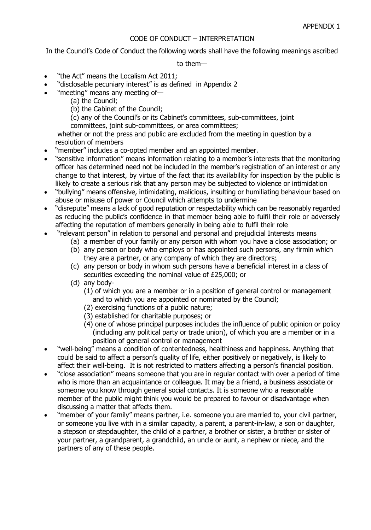## CODE OF CONDUCT – INTERPRETATION

In the Council's Code of Conduct the following words shall have the following meanings ascribed

to them—

- "the Act" means the Localism Act 2011;
- "disclosable pecuniary interest" is as defined in Appendix 2
- "meeting" means any meeting of—
	- (a) the Council;
	- (b) the Cabinet of the Council;
	- (c) any of the Council's or its Cabinet's committees, sub-committees, joint
	- committees, joint sub-committees, or area committees;

whether or not the press and public are excluded from the meeting in question by a resolution of members

- "member" includes a co-opted member and an appointed member.
- "sensitive information" means information relating to a member's interests that the monitoring officer has determined need not be included in the member's registration of an interest or any change to that interest, by virtue of the fact that its availability for inspection by the public is likely to create a serious risk that any person may be subjected to violence or intimidation
- "bullying" means offensive, intimidating, malicious, insulting or humiliating behaviour based on abuse or misuse of power or Council which attempts to undermine
- "disrepute" means a lack of good reputation or respectability which can be reasonably regarded as reducing the public's confidence in that member being able to fulfil their role or adversely affecting the reputation of members generally in being able to fulfil their role
- "relevant person" in relation to personal and personal and prejudicial Interests means
	- (a) a member of your family or any person with whom you have a close association; or
	- (b) any person or body who employs or has appointed such persons, any firmin which they are a partner, or any company of which they are directors;
	- (c) any person or body in whom such persons have a beneficial interest in a class of securities exceeding the nominal value of £25,000; or
	- (d) any body-
		- (1) of which you are a member or in a position of general control or management and to which you are appointed or nominated by the Council;
		- (2) exercising functions of a public nature;
		- (3) established for charitable purposes; or
		- (4) one of whose principal purposes includes the influence of public opinion or policy (including any political party or trade union), of which you are a member or in a position of general control or management
- "well-being" means a condition of contentedness, healthiness and happiness. Anything that could be said to affect a person's quality of life, either positively or negatively, is likely to affect their well-being. It is not restricted to matters affecting a person's financial position.
- "close association" means someone that you are in regular contact with over a period of time who is more than an acquaintance or colleague. It may be a friend, a business associate or someone you know through general social contacts. It is someone who a reasonable member of the public might think you would be prepared to favour or disadvantage when discussing a matter that affects them.
- "member of your family" means partner, i.e. someone you are married to, your civil partner, or someone you live with in a similar capacity, a parent, a parent-in-law, a son or daughter, a stepson or stepdaughter, the child of a partner, a brother or sister, a brother or sister of your partner, a grandparent, a grandchild, an uncle or aunt, a nephew or niece, and the partners of any of these people.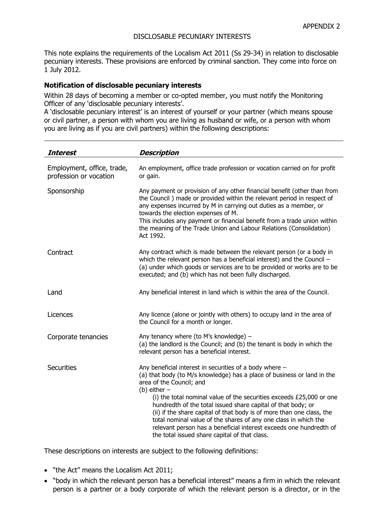## DISCLOSABLE PECUNIARY INTERESTS

This note explains the requirements of the Localism Act 2011 (Ss 29-34) in relation to disclosable pecuniary interests. These provisions are enforced by criminal sanction. They come into force on 1 July 2012.

#### **Notification of disclosable pecuniary interests**

Within 28 days of becoming a member or co-opted member, you must notify the Monitoring Officer of any 'disclosable pecuniary interests'.

A 'disclosable pecuniary interest' is an interest of yourself or your partner (which means spouse or civil partner, a person with whom you are living as husband or wife, or a person with whom you are living as if you are civil partners) within the following descriptions:

| <b>Interest</b>                                      | <b>Description</b>                                                                                                                                                                                                                                                                                                                                                                                                                                                                                                                                                                            |
|------------------------------------------------------|-----------------------------------------------------------------------------------------------------------------------------------------------------------------------------------------------------------------------------------------------------------------------------------------------------------------------------------------------------------------------------------------------------------------------------------------------------------------------------------------------------------------------------------------------------------------------------------------------|
| Employment, office, trade,<br>profession or vocation | An employment, office trade profession or vocation carried on for profit<br>or gain.                                                                                                                                                                                                                                                                                                                                                                                                                                                                                                          |
| Sponsorship                                          | Any payment or provision of any other financial benefit (other than from<br>the Council ) made or provided within the relevant period in respect of<br>any expenses incurred by M in carrying out duties as a member, or<br>towards the election expenses of M.<br>This includes any payment or financial benefit from a trade union within<br>the meaning of the Trade Union and Labour Relations (Consolidation)<br>Act 1992.                                                                                                                                                               |
| Contract                                             | Any contract which is made between the relevant person (or a body in<br>which the relevant person has a beneficial interest) and the Council -<br>(a) under which goods or services are to be provided or works are to be<br>executed; and (b) which has not been fully discharged.                                                                                                                                                                                                                                                                                                           |
| Land                                                 | Any beneficial interest in land which is within the area of the Council.                                                                                                                                                                                                                                                                                                                                                                                                                                                                                                                      |
| Licences                                             | Any licence (alone or jointly with others) to occupy land in the area of<br>the Council for a month or longer.                                                                                                                                                                                                                                                                                                                                                                                                                                                                                |
| Corporate tenancies                                  | Any tenancy where (to M's knowledge) $-$<br>(a) the landlord is the Council; and (b) the tenant is body in which the<br>relevant person has a beneficial interest.                                                                                                                                                                                                                                                                                                                                                                                                                            |
| <b>Securities</b>                                    | Any beneficial interest in securities of a body where $-$<br>(a) that body (to M/s knowledge) has a place of business or land in the<br>area of the Council; and<br>(b) either $-$<br>(i) the total nominal value of the securities exceeds £25,000 or one<br>hundredth of the total issued share capital of that body; or<br>(ii) if the share capital of that body is of more than one class, the<br>total nominal value of the shares of any one class in which the<br>relevant person has a beneficial interest exceeds one hundredth of<br>the total issued share capital of that class. |

These descriptions on interests are subject to the following definitions:

- "the Act" means the Localism Act 2011;
- "body in which the relevant person has a beneficial interest" means a firm in which the relevant person is a partner or a body corporate of which the relevant person is a director, or in the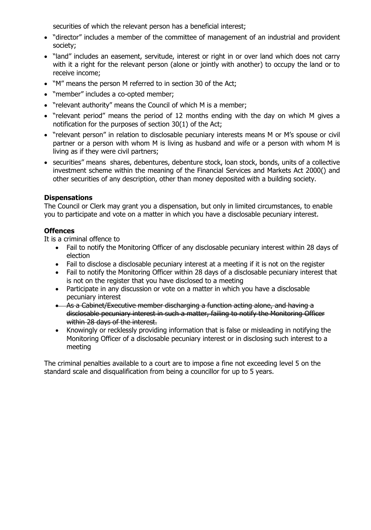securities of which the relevant person has a beneficial interest;

- "director" includes a member of the committee of management of an industrial and provident society;
- "land" includes an easement, servitude, interest or right in or over land which does not carry with it a right for the relevant person (alone or jointly with another) to occupy the land or to receive income;
- "M" means the person M referred to in section 30 of the Act;
- "member" includes a co-opted member;
- "relevant authority" means the Council of which M is a member;
- "relevant period" means the period of 12 months ending with the day on which M gives a notification for the purposes of section 30(1) of the Act;
- "relevant person" in relation to disclosable pecuniary interests means M or M's spouse or civil partner or a person with whom M is living as husband and wife or a person with whom M is living as if they were civil partners;
- securities" means shares, debentures, debenture stock, loan stock, bonds, units of a collective investment scheme within the meaning of the Financial Services and Markets Act 2000() and other securities of any description, other than money deposited with a building society.

## **Dispensations**

The Council or Clerk may grant you a dispensation, but only in limited circumstances, to enable you to participate and vote on a matter in which you have a disclosable pecuniary interest.

## **Offences**

It is a criminal offence to

- Fail to notify the Monitoring Officer of any disclosable pecuniary interest within 28 days of election
- Fail to disclose a disclosable pecuniary interest at a meeting if it is not on the register
- Fail to notify the Monitoring Officer within 28 days of a disclosable pecuniary interest that is not on the register that you have disclosed to a meeting
- Participate in any discussion or vote on a matter in which you have a disclosable pecuniary interest
- As a Cabinet/Executive member discharging a function acting alone, and having a disclosable pecuniary interest in such a matter, failing to notify the Monitoring Officer within 28 days of the interest.
- Knowingly or recklessly providing information that is false or misleading in notifying the Monitoring Officer of a disclosable pecuniary interest or in disclosing such interest to a meeting

The criminal penalties available to a court are to impose a fine not exceeding level 5 on the standard scale and disqualification from being a councillor for up to 5 years.